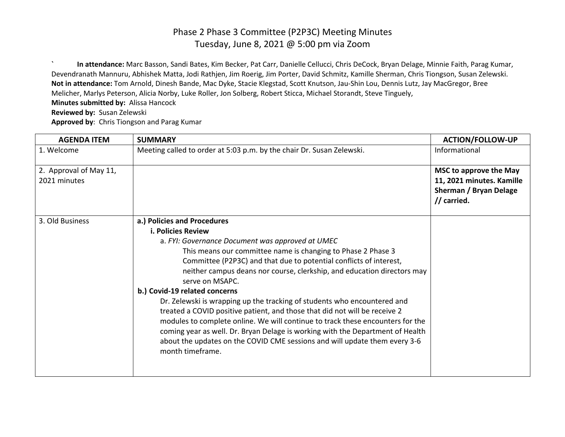**` In attendance:** Marc Basson, Sandi Bates, Kim Becker, Pat Carr, Danielle Cellucci, Chris DeCock, Bryan Delage, Minnie Faith, Parag Kumar, Devendranath Mannuru, Abhishek Matta, Jodi Rathjen, Jim Roerig, Jim Porter, David Schmitz, Kamille Sherman, Chris Tiongson, Susan Zelewski. **Not in attendance:** Tom Arnold, Dinesh Bande, Mac Dyke, Stacie Klegstad, Scott Knutson, Jau-Shin Lou, Dennis Lutz, Jay MacGregor, Bree Melicher, Marlys Peterson, Alicia Norby, Luke Roller, Jon Solberg, Robert Sticca, Michael Storandt, Steve Tinguely, **Minutes submitted by:** Alissa Hancock

**Reviewed by:** Susan Zelewski

**Approved by**: Chris Tiongson and Parag Kumar

| <b>AGENDA ITEM</b>     | <b>SUMMARY</b>                                                                                                                                                                                                                                                                                                                                                                                                               | <b>ACTION/FOLLOW-UP</b>               |
|------------------------|------------------------------------------------------------------------------------------------------------------------------------------------------------------------------------------------------------------------------------------------------------------------------------------------------------------------------------------------------------------------------------------------------------------------------|---------------------------------------|
| 1. Welcome             | Meeting called to order at 5:03 p.m. by the chair Dr. Susan Zelewski.                                                                                                                                                                                                                                                                                                                                                        | Informational                         |
| 2. Approval of May 11, |                                                                                                                                                                                                                                                                                                                                                                                                                              | MSC to approve the May                |
| 2021 minutes           |                                                                                                                                                                                                                                                                                                                                                                                                                              | 11, 2021 minutes. Kamille             |
|                        |                                                                                                                                                                                                                                                                                                                                                                                                                              | Sherman / Bryan Delage<br>// carried. |
| 3. Old Business        | a.) Policies and Procedures                                                                                                                                                                                                                                                                                                                                                                                                  |                                       |
|                        | <b>i. Policies Review</b>                                                                                                                                                                                                                                                                                                                                                                                                    |                                       |
|                        | a. FYI: Governance Document was approved at UMEC                                                                                                                                                                                                                                                                                                                                                                             |                                       |
|                        | This means our committee name is changing to Phase 2 Phase 3                                                                                                                                                                                                                                                                                                                                                                 |                                       |
|                        | Committee (P2P3C) and that due to potential conflicts of interest,                                                                                                                                                                                                                                                                                                                                                           |                                       |
|                        | neither campus deans nor course, clerkship, and education directors may<br>serve on MSAPC.                                                                                                                                                                                                                                                                                                                                   |                                       |
|                        | b.) Covid-19 related concerns                                                                                                                                                                                                                                                                                                                                                                                                |                                       |
|                        | Dr. Zelewski is wrapping up the tracking of students who encountered and<br>treated a COVID positive patient, and those that did not will be receive 2<br>modules to complete online. We will continue to track these encounters for the<br>coming year as well. Dr. Bryan Delage is working with the Department of Health<br>about the updates on the COVID CME sessions and will update them every 3-6<br>month timeframe. |                                       |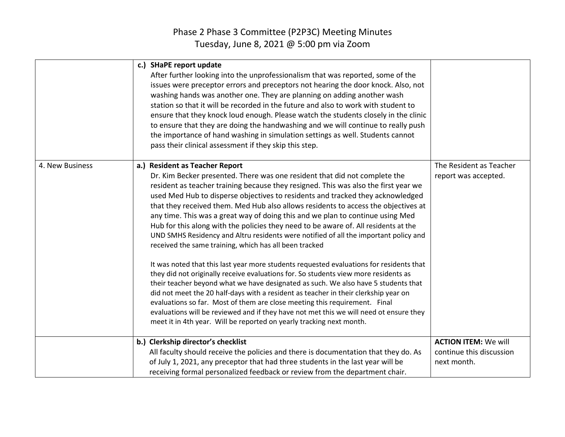|                 | c.) SHaPE report update<br>After further looking into the unprofessionalism that was reported, some of the<br>issues were preceptor errors and preceptors not hearing the door knock. Also, not<br>washing hands was another one. They are planning on adding another wash<br>station so that it will be recorded in the future and also to work with student to<br>ensure that they knock loud enough. Please watch the students closely in the clinic<br>to ensure that they are doing the handwashing and we will continue to really push<br>the importance of hand washing in simulation settings as well. Students cannot<br>pass their clinical assessment if they skip this step.                                                                                                                                                                                                                                                                                                                                                                                                                                                                                                                                                                                                                              |                                                                        |
|-----------------|-----------------------------------------------------------------------------------------------------------------------------------------------------------------------------------------------------------------------------------------------------------------------------------------------------------------------------------------------------------------------------------------------------------------------------------------------------------------------------------------------------------------------------------------------------------------------------------------------------------------------------------------------------------------------------------------------------------------------------------------------------------------------------------------------------------------------------------------------------------------------------------------------------------------------------------------------------------------------------------------------------------------------------------------------------------------------------------------------------------------------------------------------------------------------------------------------------------------------------------------------------------------------------------------------------------------------|------------------------------------------------------------------------|
| 4. New Business | a.) Resident as Teacher Report<br>Dr. Kim Becker presented. There was one resident that did not complete the<br>resident as teacher training because they resigned. This was also the first year we<br>used Med Hub to disperse objectives to residents and tracked they acknowledged<br>that they received them. Med Hub also allows residents to access the objectives at<br>any time. This was a great way of doing this and we plan to continue using Med<br>Hub for this along with the policies they need to be aware of. All residents at the<br>UND SMHS Residency and Altru residents were notified of all the important policy and<br>received the same training, which has all been tracked<br>It was noted that this last year more students requested evaluations for residents that<br>they did not originally receive evaluations for. So students view more residents as<br>their teacher beyond what we have designated as such. We also have 5 students that<br>did not meet the 20 half-days with a resident as teacher in their clerkship year on<br>evaluations so far. Most of them are close meeting this requirement. Final<br>evaluations will be reviewed and if they have not met this we will need ot ensure they<br>meet it in 4th year. Will be reported on yearly tracking next month. | The Resident as Teacher<br>report was accepted.                        |
|                 | b.) Clerkship director's checklist<br>All faculty should receive the policies and there is documentation that they do. As<br>of July 1, 2021, any preceptor that had three students in the last year will be<br>receiving formal personalized feedback or review from the department chair.                                                                                                                                                                                                                                                                                                                                                                                                                                                                                                                                                                                                                                                                                                                                                                                                                                                                                                                                                                                                                           | <b>ACTION ITEM: We will</b><br>continue this discussion<br>next month. |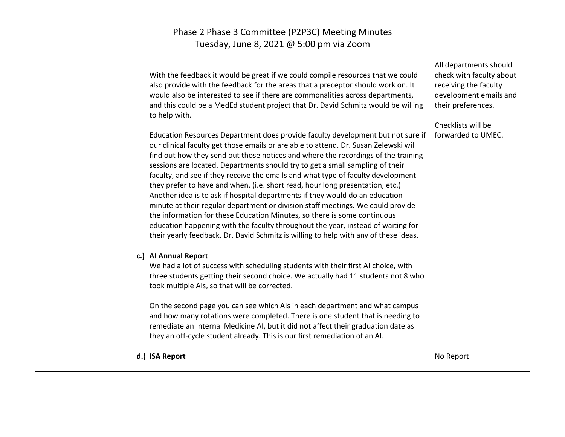| With the feedback it would be great if we could compile resources that we could<br>also provide with the feedback for the areas that a preceptor should work on. It<br>would also be interested to see if there are commonalities across departments,<br>and this could be a MedEd student project that Dr. David Schmitz would be willing<br>to help with.                                                                                                                                                                                                                                                                                                                                                                                                                                                                                                                                                                                   | All departments should<br>check with faculty about<br>receiving the faculty<br>development emails and<br>their preferences.<br>Checklists will be |
|-----------------------------------------------------------------------------------------------------------------------------------------------------------------------------------------------------------------------------------------------------------------------------------------------------------------------------------------------------------------------------------------------------------------------------------------------------------------------------------------------------------------------------------------------------------------------------------------------------------------------------------------------------------------------------------------------------------------------------------------------------------------------------------------------------------------------------------------------------------------------------------------------------------------------------------------------|---------------------------------------------------------------------------------------------------------------------------------------------------|
| Education Resources Department does provide faculty development but not sure if<br>our clinical faculty get those emails or are able to attend. Dr. Susan Zelewski will<br>find out how they send out those notices and where the recordings of the training<br>sessions are located. Departments should try to get a small sampling of their<br>faculty, and see if they receive the emails and what type of faculty development<br>they prefer to have and when. (i.e. short read, hour long presentation, etc.)<br>Another idea is to ask if hospital departments if they would do an education<br>minute at their regular department or division staff meetings. We could provide<br>the information for these Education Minutes, so there is some continuous<br>education happening with the faculty throughout the year, instead of waiting for<br>their yearly feedback. Dr. David Schmitz is willing to help with any of these ideas. | forwarded to UMEC.                                                                                                                                |
| c.) Al Annual Report<br>We had a lot of success with scheduling students with their first AI choice, with<br>three students getting their second choice. We actually had 11 students not 8 who<br>took multiple AIs, so that will be corrected.<br>On the second page you can see which AIs in each department and what campus<br>and how many rotations were completed. There is one student that is needing to<br>remediate an Internal Medicine AI, but it did not affect their graduation date as<br>they an off-cycle student already. This is our first remediation of an AI.                                                                                                                                                                                                                                                                                                                                                           |                                                                                                                                                   |
| d.) ISA Report                                                                                                                                                                                                                                                                                                                                                                                                                                                                                                                                                                                                                                                                                                                                                                                                                                                                                                                                | No Report                                                                                                                                         |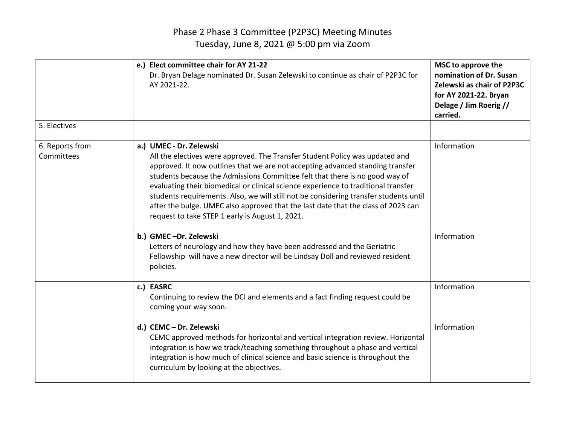|                               | e.) Elect committee chair for AY 21-22<br>Dr. Bryan Delage nominated Dr. Susan Zelewski to continue as chair of P2P3C for<br>AY 2021-22.                                                                                                                                                                                                                                                                                                                                                                                                                                                        | MSC to approve the<br>nomination of Dr. Susan<br>Zelewski as chair of P2P3C<br>for AY 2021-22. Bryan<br>Delage / Jim Roerig //<br>carried. |
|-------------------------------|-------------------------------------------------------------------------------------------------------------------------------------------------------------------------------------------------------------------------------------------------------------------------------------------------------------------------------------------------------------------------------------------------------------------------------------------------------------------------------------------------------------------------------------------------------------------------------------------------|--------------------------------------------------------------------------------------------------------------------------------------------|
| 5. Electives                  |                                                                                                                                                                                                                                                                                                                                                                                                                                                                                                                                                                                                 |                                                                                                                                            |
| 6. Reports from<br>Committees | a.) UMEC - Dr. Zelewski<br>All the electives were approved. The Transfer Student Policy was updated and<br>approved. It now outlines that we are not accepting advanced standing transfer<br>students because the Admissions Committee felt that there is no good way of<br>evaluating their biomedical or clinical science experience to traditional transfer<br>students requirements. Also, we will still not be considering transfer students until<br>after the bulge. UMEC also approved that the last date that the class of 2023 can<br>request to take STEP 1 early is August 1, 2021. | Information                                                                                                                                |
|                               | b.) GMEC-Dr. Zelewski<br>Letters of neurology and how they have been addressed and the Geriatric<br>Fellowship will have a new director will be Lindsay Doll and reviewed resident<br>policies.                                                                                                                                                                                                                                                                                                                                                                                                 | Information                                                                                                                                |
|                               | c.) EASRC<br>Continuing to review the DCI and elements and a fact finding request could be<br>coming your way soon.                                                                                                                                                                                                                                                                                                                                                                                                                                                                             | Information                                                                                                                                |
|                               | d.) CEMC - Dr. Zelewski<br>CEMC approved methods for horizontal and vertical integration review. Horizontal<br>integration is how we track/teaching something throughout a phase and vertical<br>integration is how much of clinical science and basic science is throughout the<br>curriculum by looking at the objectives.                                                                                                                                                                                                                                                                    | Information                                                                                                                                |